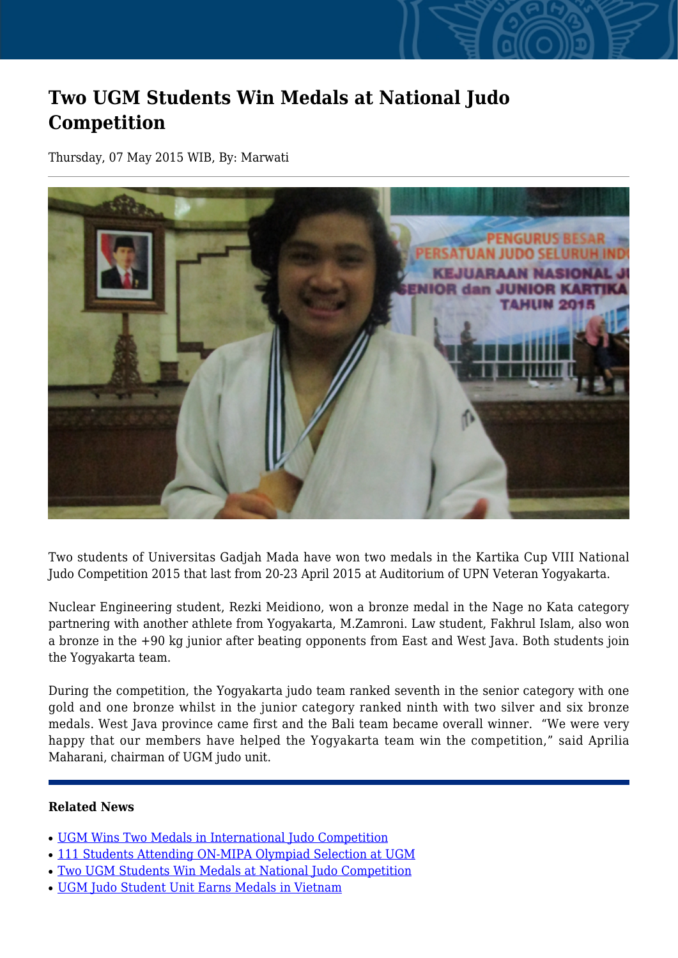## **Two UGM Students Win Medals at National Judo Competition**

Thursday, 07 May 2015 WIB, By: Marwati



Two students of Universitas Gadjah Mada have won two medals in the Kartika Cup VIII National Judo Competition 2015 that last from 20-23 April 2015 at Auditorium of UPN Veteran Yogyakarta.

Nuclear Engineering student, Rezki Meidiono, won a bronze medal in the Nage no Kata category partnering with another athlete from Yogyakarta, M.Zamroni. Law student, Fakhrul Islam, also won a bronze in the +90 kg junior after beating opponents from East and West Java. Both students join the Yogyakarta team.

During the competition, the Yogyakarta judo team ranked seventh in the senior category with one gold and one bronze whilst in the junior category ranked ninth with two silver and six bronze medals. West Java province came first and the Bali team became overall winner. "We were very happy that our members have helped the Yogyakarta team win the competition," said Aprilia Maharani, chairman of UGM judo unit.

## **Related News**

- [UGM Wins Two Medals in International Judo Competition](http://ugm.ac.id/www.ugm.ac.id//en/news/9983-two-ugm-students-win-medals-at-national-judo-competition)
- [111 Students Attending ON-MIPA Olympiad Selection at UGM](http://ugm.ac.id/www.ugm.ac.id//en/news/13467-ugm-judo-student-unit-earns-medals-in-vietnam)
- [Two UGM Students Win Medals at National Judo Competition](http://ugm.ac.id/www.ugm.ac.id//en/news/17903-ugm-win-nine-medals-in-on-mipa-2019-competition)
- [UGM Judo Student Unit Earns Medals in Vietnam](http://ugm.ac.id/www.ugm.ac.id//en/news/7853-ugm-wins-two-medals-in-international-judo-competition)